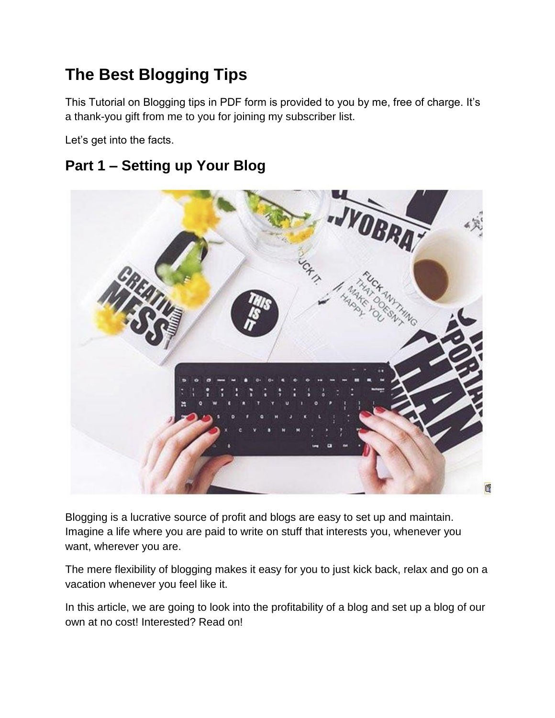# **The Best Blogging Tips**

This Tutorial on Blogging tips in PDF form is provided to you by me, free of charge. It's a thank-you gift from me to you for joining my subscriber list.

Let's get into the facts.

#### **Part 1 – Setting up Your Blog**



Blogging is a lucrative source of profit and blogs are easy to set up and maintain. Imagine a life where you are paid to write on stuff that interests you, whenever you want, wherever you are.

The mere flexibility of blogging makes it easy for you to just kick back, relax and go on a vacation whenever you feel like it.

In this article, we are going to look into the profitability of a blog and set up a blog of our own at no cost! Interested? Read on!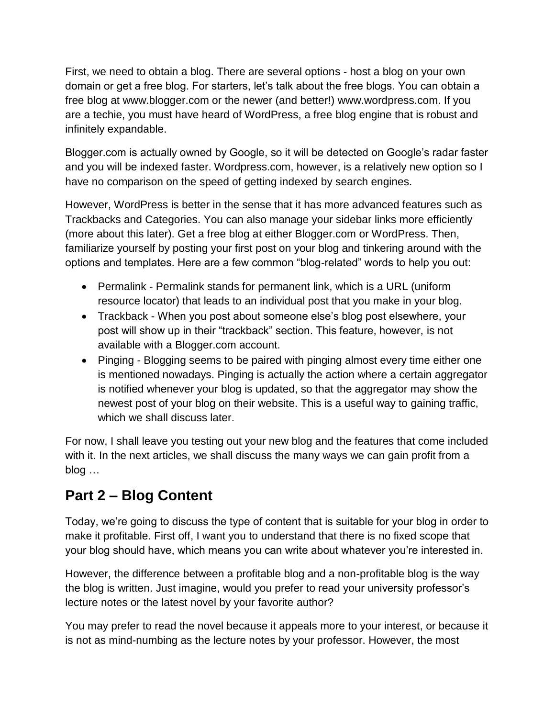First, we need to obtain a blog. There are several options - host a blog on your own domain or get a free blog. For starters, let's talk about the free blogs. You can obtain a free blog at www.blogger.com or the newer (and better!) www.wordpress.com. If you are a techie, you must have heard of WordPress, a free blog engine that is robust and infinitely expandable.

Blogger.com is actually owned by Google, so it will be detected on Google's radar faster and you will be indexed faster. Wordpress.com, however, is a relatively new option so I have no comparison on the speed of getting indexed by search engines.

However, WordPress is better in the sense that it has more advanced features such as Trackbacks and Categories. You can also manage your sidebar links more efficiently (more about this later). Get a free blog at either Blogger.com or WordPress. Then, familiarize yourself by posting your first post on your blog and tinkering around with the options and templates. Here are a few common "blog-related" words to help you out:

- Permalink Permalink stands for permanent link, which is a URL (uniform resource locator) that leads to an individual post that you make in your blog.
- Trackback When you post about someone else's blog post elsewhere, your post will show up in their "trackback" section. This feature, however, is not available with a Blogger.com account.
- Pinging Blogging seems to be paired with pinging almost every time either one is mentioned nowadays. Pinging is actually the action where a certain aggregator is notified whenever your blog is updated, so that the aggregator may show the newest post of your blog on their website. This is a useful way to gaining traffic, which we shall discuss later.

For now, I shall leave you testing out your new blog and the features that come included with it. In the next articles, we shall discuss the many ways we can gain profit from a blog …

## **Part 2 – Blog Content**

Today, we're going to discuss the type of content that is suitable for your blog in order to make it profitable. First off, I want you to understand that there is no fixed scope that your blog should have, which means you can write about whatever you're interested in.

However, the difference between a profitable blog and a non-profitable blog is the way the blog is written. Just imagine, would you prefer to read your university professor's lecture notes or the latest novel by your favorite author?

You may prefer to read the novel because it appeals more to your interest, or because it is not as mind-numbing as the lecture notes by your professor. However, the most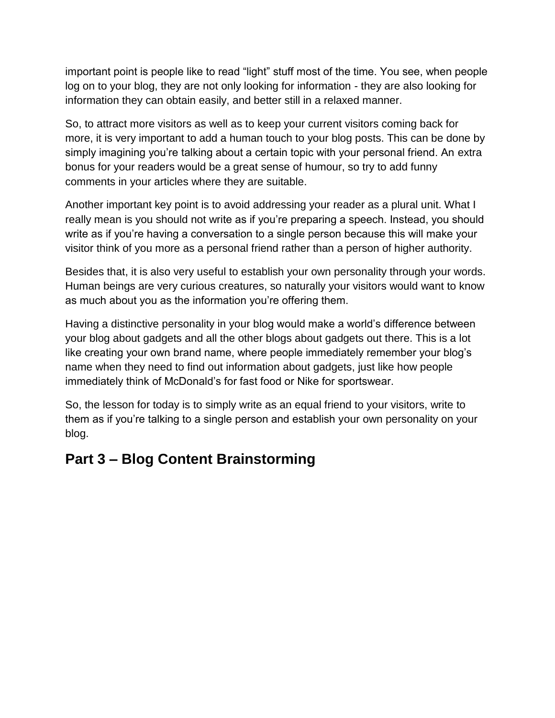important point is people like to read "light" stuff most of the time. You see, when people log on to your blog, they are not only looking for information - they are also looking for information they can obtain easily, and better still in a relaxed manner.

So, to attract more visitors as well as to keep your current visitors coming back for more, it is very important to add a human touch to your blog posts. This can be done by simply imagining you're talking about a certain topic with your personal friend. An extra bonus for your readers would be a great sense of humour, so try to add funny comments in your articles where they are suitable.

Another important key point is to avoid addressing your reader as a plural unit. What I really mean is you should not write as if you're preparing a speech. Instead, you should write as if you're having a conversation to a single person because this will make your visitor think of you more as a personal friend rather than a person of higher authority.

Besides that, it is also very useful to establish your own personality through your words. Human beings are very curious creatures, so naturally your visitors would want to know as much about you as the information you're offering them.

Having a distinctive personality in your blog would make a world's difference between your blog about gadgets and all the other blogs about gadgets out there. This is a lot like creating your own brand name, where people immediately remember your blog's name when they need to find out information about gadgets, just like how people immediately think of McDonald's for fast food or Nike for sportswear.

So, the lesson for today is to simply write as an equal friend to your visitors, write to them as if you're talking to a single person and establish your own personality on your blog.

#### **Part 3 – Blog Content Brainstorming**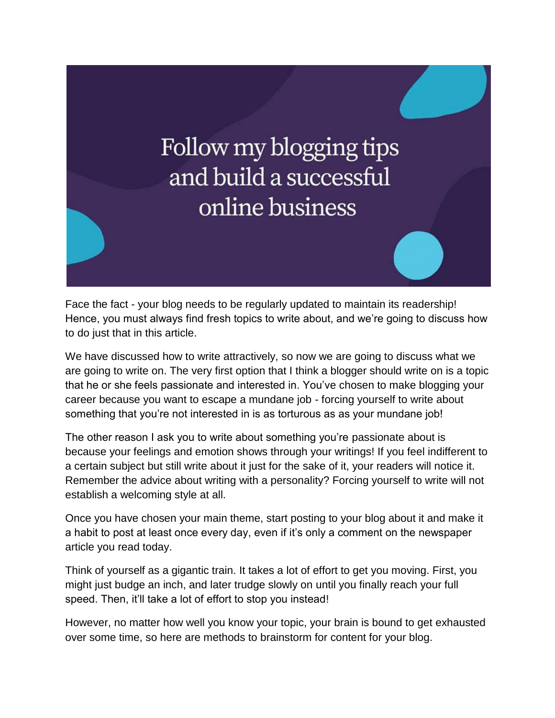# Follow my blogging tips and build a successful online business

Face the fact - your blog needs to be regularly updated to maintain its readership! Hence, you must always find fresh topics to write about, and we're going to discuss how to do just that in this article.

We have discussed how to write attractively, so now we are going to discuss what we are going to write on. The very first option that I think a blogger should write on is a topic that he or she feels passionate and interested in. You've chosen to make blogging your career because you want to escape a mundane job - forcing yourself to write about something that you're not interested in is as torturous as as your mundane job!

The other reason I ask you to write about something you're passionate about is because your feelings and emotion shows through your writings! If you feel indifferent to a certain subject but still write about it just for the sake of it, your readers will notice it. Remember the advice about writing with a personality? Forcing yourself to write will not establish a welcoming style at all.

Once you have chosen your main theme, start posting to your blog about it and make it a habit to post at least once every day, even if it's only a comment on the newspaper article you read today.

Think of yourself as a gigantic train. It takes a lot of effort to get you moving. First, you might just budge an inch, and later trudge slowly on until you finally reach your full speed. Then, it'll take a lot of effort to stop you instead!

However, no matter how well you know your topic, your brain is bound to get exhausted over some time, so here are methods to brainstorm for content for your blog.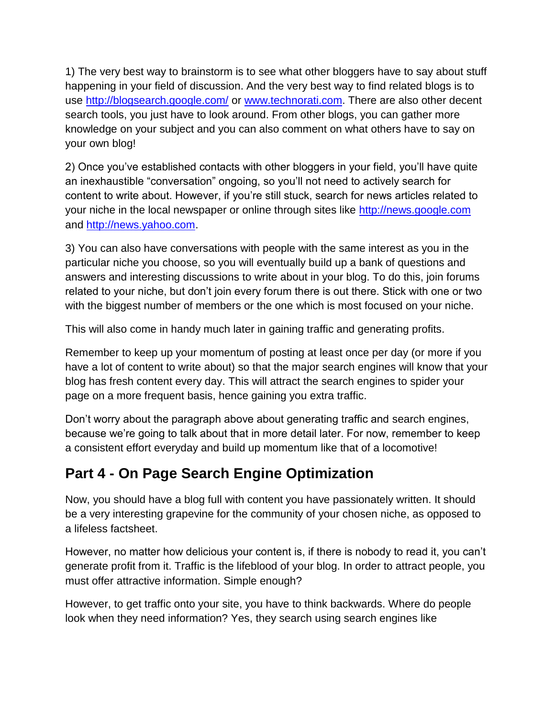1) The very best way to brainstorm is to see what other bloggers have to say about stuff happening in your field of discussion. And the very best way to find related blogs is to use<http://blogsearch.google.com/> or [www.technorati.com.](www.technorati.com) There are also other decent search tools, you just have to look around. From other blogs, you can gather more knowledge on your subject and you can also comment on what others have to say on your own blog!

2) Once you've established contacts with other bloggers in your field, you'll have quite an inexhaustible "conversation" ongoing, so you'll not need to actively search for content to write about. However, if you're still stuck, search for news articles related to your niche in the local newspaper or online through sites like [http://news.google.com](http://news.google.com/) and [http://news.yahoo.com.](http://news.yahoo.com/)

3) You can also have conversations with people with the same interest as you in the particular niche you choose, so you will eventually build up a bank of questions and answers and interesting discussions to write about in your blog. To do this, join forums related to your niche, but don't join every forum there is out there. Stick with one or two with the biggest number of members or the one which is most focused on your niche.

This will also come in handy much later in gaining traffic and generating profits.

Remember to keep up your momentum of posting at least once per day (or more if you have a lot of content to write about) so that the major search engines will know that your blog has fresh content every day. This will attract the search engines to spider your page on a more frequent basis, hence gaining you extra traffic.

Don't worry about the paragraph above about generating traffic and search engines, because we're going to talk about that in more detail later. For now, remember to keep a consistent effort everyday and build up momentum like that of a locomotive!

## **Part 4 - On Page Search Engine Optimization**

Now, you should have a blog full with content you have passionately written. It should be a very interesting grapevine for the community of your chosen niche, as opposed to a lifeless factsheet.

However, no matter how delicious your content is, if there is nobody to read it, you can't generate profit from it. Traffic is the lifeblood of your blog. In order to attract people, you must offer attractive information. Simple enough?

However, to get traffic onto your site, you have to think backwards. Where do people look when they need information? Yes, they search using search engines like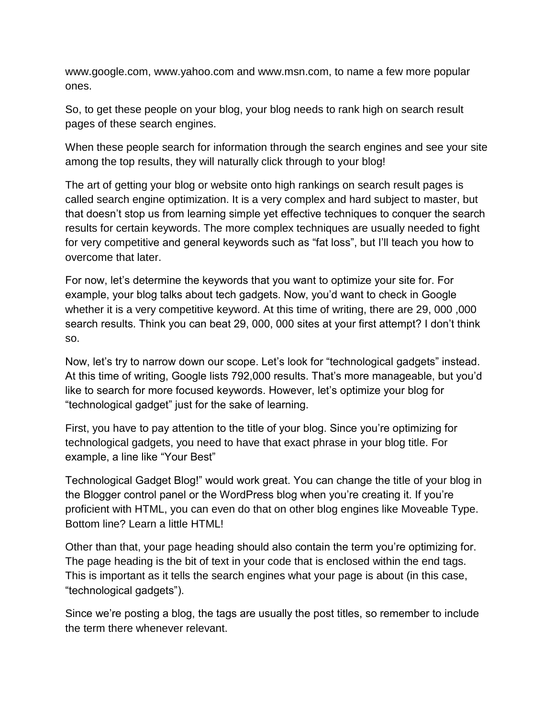www.google.com, www.yahoo.com and www.msn.com, to name a few more popular ones.

So, to get these people on your blog, your blog needs to rank high on search result pages of these search engines.

When these people search for information through the search engines and see your site among the top results, they will naturally click through to your blog!

The art of getting your blog or website onto high rankings on search result pages is called search engine optimization. It is a very complex and hard subject to master, but that doesn't stop us from learning simple yet effective techniques to conquer the search results for certain keywords. The more complex techniques are usually needed to fight for very competitive and general keywords such as "fat loss", but I'll teach you how to overcome that later.

For now, let's determine the keywords that you want to optimize your site for. For example, your blog talks about tech gadgets. Now, you'd want to check in Google whether it is a very competitive keyword. At this time of writing, there are 29, 000 ,000 search results. Think you can beat 29, 000, 000 sites at your first attempt? I don't think so.

Now, let's try to narrow down our scope. Let's look for "technological gadgets" instead. At this time of writing, Google lists 792,000 results. That's more manageable, but you'd like to search for more focused keywords. However, let's optimize your blog for "technological gadget" just for the sake of learning.

First, you have to pay attention to the title of your blog. Since you're optimizing for technological gadgets, you need to have that exact phrase in your blog title. For example, a line like "Your Best"

Technological Gadget Blog!" would work great. You can change the title of your blog in the Blogger control panel or the WordPress blog when you're creating it. If you're proficient with HTML, you can even do that on other blog engines like Moveable Type. Bottom line? Learn a little HTML!

Other than that, your page heading should also contain the term you're optimizing for. The page heading is the bit of text in your code that is enclosed within the end tags. This is important as it tells the search engines what your page is about (in this case, "technological gadgets").

Since we're posting a blog, the tags are usually the post titles, so remember to include the term there whenever relevant.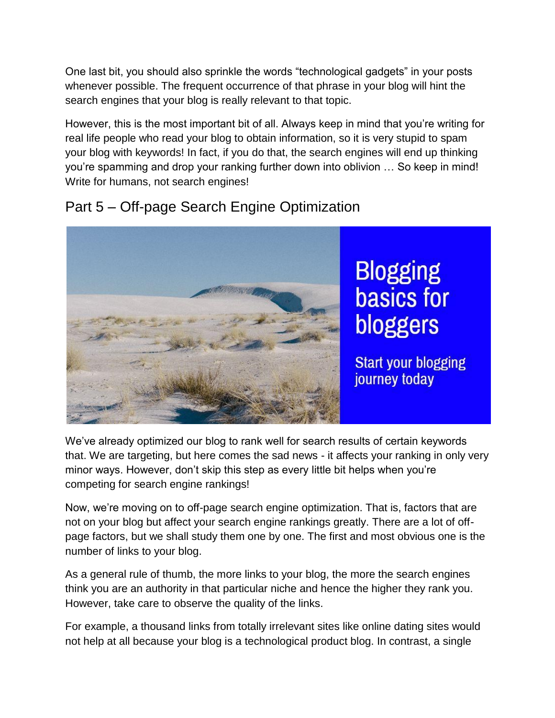One last bit, you should also sprinkle the words "technological gadgets" in your posts whenever possible. The frequent occurrence of that phrase in your blog will hint the search engines that your blog is really relevant to that topic.

However, this is the most important bit of all. Always keep in mind that you're writing for real life people who read your blog to obtain information, so it is very stupid to spam your blog with keywords! In fact, if you do that, the search engines will end up thinking you're spamming and drop your ranking further down into oblivion … So keep in mind! Write for humans, not search engines!



#### Part 5 – Off-page Search Engine Optimization

We've already optimized our blog to rank well for search results of certain keywords that. We are targeting, but here comes the sad news - it affects your ranking in only very minor ways. However, don't skip this step as every little bit helps when you're competing for search engine rankings!

Now, we're moving on to off-page search engine optimization. That is, factors that are not on your blog but affect your search engine rankings greatly. There are a lot of offpage factors, but we shall study them one by one. The first and most obvious one is the number of links to your blog.

As a general rule of thumb, the more links to your blog, the more the search engines think you are an authority in that particular niche and hence the higher they rank you. However, take care to observe the quality of the links.

For example, a thousand links from totally irrelevant sites like online dating sites would not help at all because your blog is a technological product blog. In contrast, a single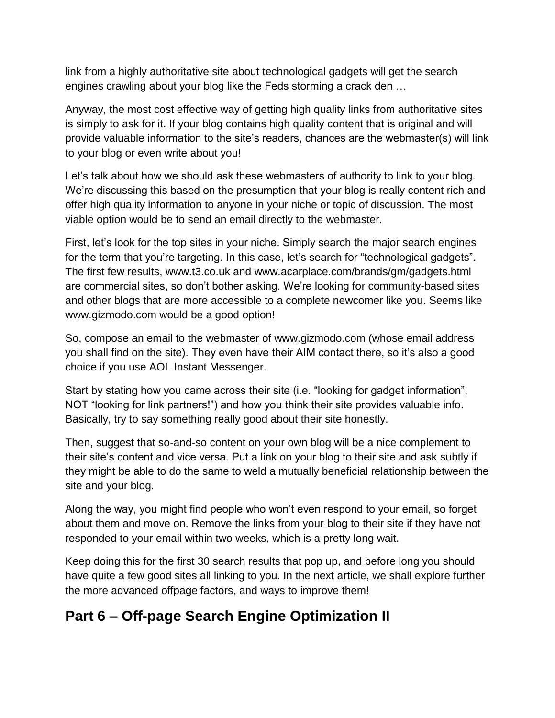link from a highly authoritative site about technological gadgets will get the search engines crawling about your blog like the Feds storming a crack den …

Anyway, the most cost effective way of getting high quality links from authoritative sites is simply to ask for it. If your blog contains high quality content that is original and will provide valuable information to the site's readers, chances are the webmaster(s) will link to your blog or even write about you!

Let's talk about how we should ask these webmasters of authority to link to your blog. We're discussing this based on the presumption that your blog is really content rich and offer high quality information to anyone in your niche or topic of discussion. The most viable option would be to send an email directly to the webmaster.

First, let's look for the top sites in your niche. Simply search the major search engines for the term that you're targeting. In this case, let's search for "technological gadgets". The first few results, www.t3.co.uk and www.acarplace.com/brands/gm/gadgets.html are commercial sites, so don't bother asking. We're looking for community-based sites and other blogs that are more accessible to a complete newcomer like you. Seems like www.gizmodo.com would be a good option!

So, compose an email to the webmaster of www.gizmodo.com (whose email address you shall find on the site). They even have their AIM contact there, so it's also a good choice if you use AOL Instant Messenger.

Start by stating how you came across their site (i.e. "looking for gadget information", NOT "looking for link partners!") and how you think their site provides valuable info. Basically, try to say something really good about their site honestly.

Then, suggest that so-and-so content on your own blog will be a nice complement to their site's content and vice versa. Put a link on your blog to their site and ask subtly if they might be able to do the same to weld a mutually beneficial relationship between the site and your blog.

Along the way, you might find people who won't even respond to your email, so forget about them and move on. Remove the links from your blog to their site if they have not responded to your email within two weeks, which is a pretty long wait.

Keep doing this for the first 30 search results that pop up, and before long you should have quite a few good sites all linking to you. In the next article, we shall explore further the more advanced offpage factors, and ways to improve them!

## **Part 6 – Off-page Search Engine Optimization II**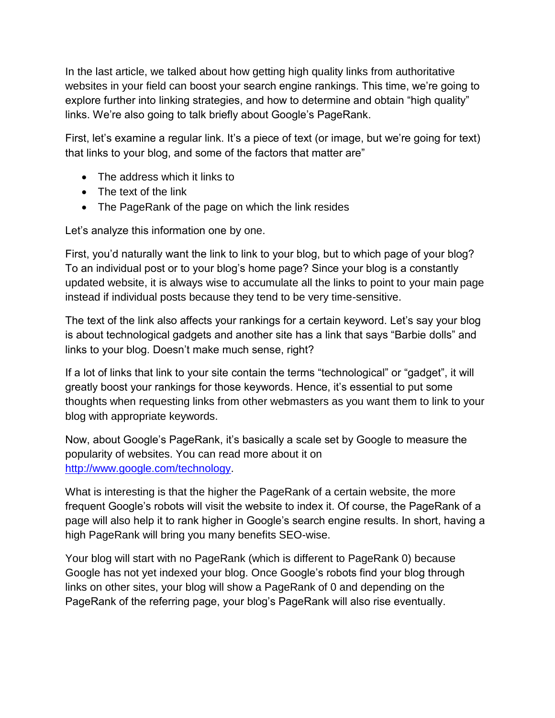In the last article, we talked about how getting high quality links from authoritative websites in your field can boost your search engine rankings. This time, we're going to explore further into linking strategies, and how to determine and obtain "high quality" links. We're also going to talk briefly about Google's PageRank.

First, let's examine a regular link. It's a piece of text (or image, but we're going for text) that links to your blog, and some of the factors that matter are"

- The address which it links to
- The text of the link
- The PageRank of the page on which the link resides

Let's analyze this information one by one.

First, you'd naturally want the link to link to your blog, but to which page of your blog? To an individual post or to your blog's home page? Since your blog is a constantly updated website, it is always wise to accumulate all the links to point to your main page instead if individual posts because they tend to be very time-sensitive.

The text of the link also affects your rankings for a certain keyword. Let's say your blog is about technological gadgets and another site has a link that says "Barbie dolls" and links to your blog. Doesn't make much sense, right?

If a lot of links that link to your site contain the terms "technological" or "gadget", it will greatly boost your rankings for those keywords. Hence, it's essential to put some thoughts when requesting links from other webmasters as you want them to link to your blog with appropriate keywords.

Now, about Google's PageRank, it's basically a scale set by Google to measure the popularity of websites. You can read more about it on [http://www.google.com/technology.](http://www.google.com/technology)

What is interesting is that the higher the PageRank of a certain website, the more frequent Google's robots will visit the website to index it. Of course, the PageRank of a page will also help it to rank higher in Google's search engine results. In short, having a high PageRank will bring you many benefits SEO-wise.

Your blog will start with no PageRank (which is different to PageRank 0) because Google has not yet indexed your blog. Once Google's robots find your blog through links on other sites, your blog will show a PageRank of 0 and depending on the PageRank of the referring page, your blog's PageRank will also rise eventually.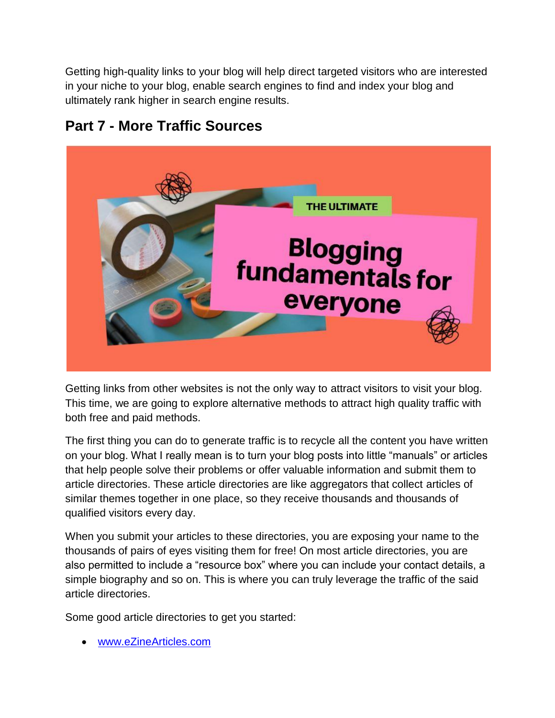Getting high-quality links to your blog will help direct targeted visitors who are interested in your niche to your blog, enable search engines to find and index your blog and ultimately rank higher in search engine results.



#### **Part 7 - More Traffic Sources**

Getting links from other websites is not the only way to attract visitors to visit your blog. This time, we are going to explore alternative methods to attract high quality traffic with both free and paid methods.

The first thing you can do to generate traffic is to recycle all the content you have written on your blog. What I really mean is to turn your blog posts into little "manuals" or articles that help people solve their problems or offer valuable information and submit them to article directories. These article directories are like aggregators that collect articles of similar themes together in one place, so they receive thousands and thousands of qualified visitors every day.

When you submit your articles to these directories, you are exposing your name to the thousands of pairs of eyes visiting them for free! On most article directories, you are also permitted to include a "resource box" where you can include your contact details, a simple biography and so on. This is where you can truly leverage the traffic of the said article directories.

Some good article directories to get you started:

<www.eZineArticles.com>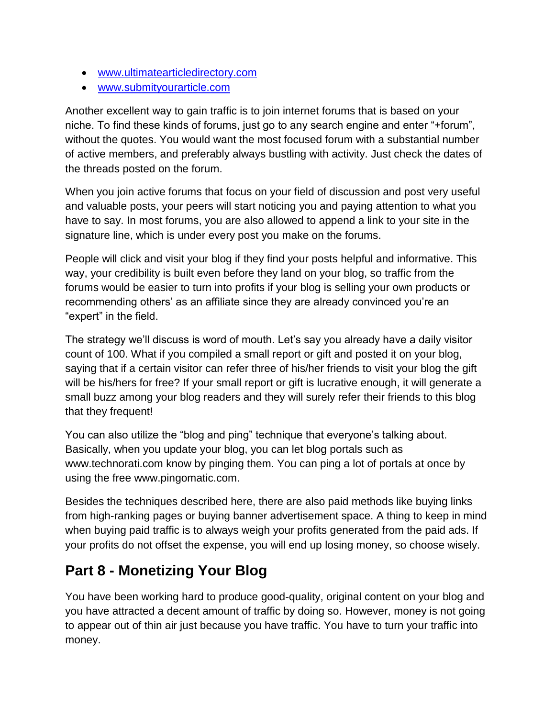- [www.ultimatearticledirectory.com](www.ultimatearticledirectory.com%20)
- <www.submityourarticle.com>

Another excellent way to gain traffic is to join internet forums that is based on your niche. To find these kinds of forums, just go to any search engine and enter "+forum", without the quotes. You would want the most focused forum with a substantial number of active members, and preferably always bustling with activity. Just check the dates of the threads posted on the forum.

When you join active forums that focus on your field of discussion and post very useful and valuable posts, your peers will start noticing you and paying attention to what you have to say. In most forums, you are also allowed to append a link to your site in the signature line, which is under every post you make on the forums.

People will click and visit your blog if they find your posts helpful and informative. This way, your credibility is built even before they land on your blog, so traffic from the forums would be easier to turn into profits if your blog is selling your own products or recommending others' as an affiliate since they are already convinced you're an "expert" in the field.

The strategy we'll discuss is word of mouth. Let's say you already have a daily visitor count of 100. What if you compiled a small report or gift and posted it on your blog, saying that if a certain visitor can refer three of his/her friends to visit your blog the gift will be his/hers for free? If your small report or gift is lucrative enough, it will generate a small buzz among your blog readers and they will surely refer their friends to this blog that they frequent!

You can also utilize the "blog and ping" technique that everyone's talking about. Basically, when you update your blog, you can let blog portals such as www.technorati.com know by pinging them. You can ping a lot of portals at once by using the free www.pingomatic.com.

Besides the techniques described here, there are also paid methods like buying links from high-ranking pages or buying banner advertisement space. A thing to keep in mind when buying paid traffic is to always weigh your profits generated from the paid ads. If your profits do not offset the expense, you will end up losing money, so choose wisely.

#### **Part 8 - Monetizing Your Blog**

You have been working hard to produce good-quality, original content on your blog and you have attracted a decent amount of traffic by doing so. However, money is not going to appear out of thin air just because you have traffic. You have to turn your traffic into money.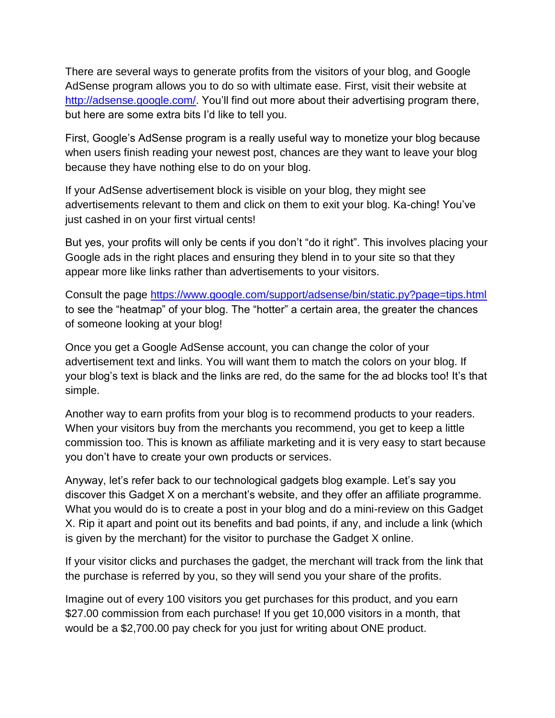There are several ways to generate profits from the visitors of your blog, and Google AdSense program allows you to do so with ultimate ease. First, visit their website at [http://adsense.google.com/.](http://adsense.google.com/) You'll find out more about their advertising program there, but here are some extra bits I'd like to tell you.

First, Google's AdSense program is a really useful way to monetize your blog because when users finish reading your newest post, chances are they want to leave your blog because they have nothing else to do on your blog.

If your AdSense advertisement block is visible on your blog, they might see advertisements relevant to them and click on them to exit your blog. Ka-ching! You've just cashed in on your first virtual cents!

But yes, your profits will only be cents if you don't "do it right". This involves placing your Google ads in the right places and ensuring they blend in to your site so that they appear more like links rather than advertisements to your visitors.

Consult the page<https://www.google.com/support/adsense/bin/static.py?page=tips.html> to see the "heatmap" of your blog. The "hotter" a certain area, the greater the chances of someone looking at your blog!

Once you get a Google AdSense account, you can change the color of your advertisement text and links. You will want them to match the colors on your blog. If your blog's text is black and the links are red, do the same for the ad blocks too! It's that simple.

Another way to earn profits from your blog is to recommend products to your readers. When your visitors buy from the merchants you recommend, you get to keep a little commission too. This is known as affiliate marketing and it is very easy to start because you don't have to create your own products or services.

Anyway, let's refer back to our technological gadgets blog example. Let's say you discover this Gadget X on a merchant's website, and they offer an affiliate programme. What you would do is to create a post in your blog and do a mini-review on this Gadget X. Rip it apart and point out its benefits and bad points, if any, and include a link (which is given by the merchant) for the visitor to purchase the Gadget X online.

If your visitor clicks and purchases the gadget, the merchant will track from the link that the purchase is referred by you, so they will send you your share of the profits.

Imagine out of every 100 visitors you get purchases for this product, and you earn \$27.00 commission from each purchase! If you get 10,000 visitors in a month, that would be a \$2,700.00 pay check for you just for writing about ONE product.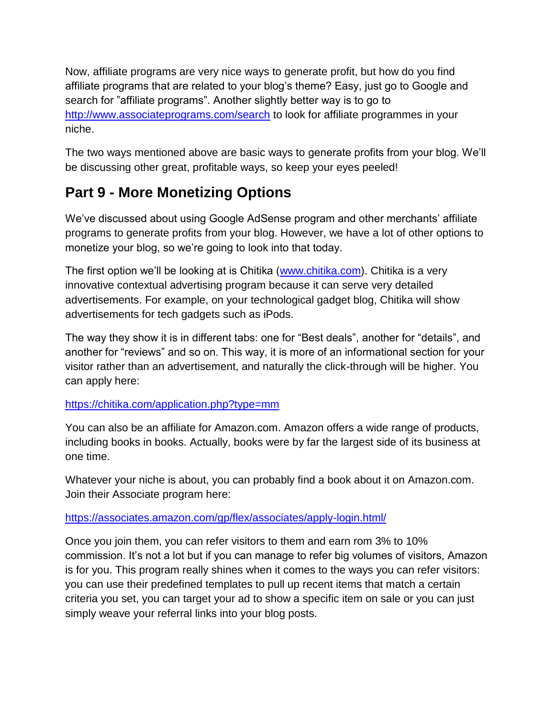Now, affiliate programs are very nice ways to generate profit, but how do you find affiliate programs that are related to your blog's theme? Easy, just go to Google and search for "affiliate programs". Another slightly better way is to go to <http://www.associateprograms.com/search> to look for affiliate programmes in your niche.

The two ways mentioned above are basic ways to generate profits from your blog. We'll be discussing other great, profitable ways, so keep your eyes peeled!

#### **Part 9 - More Monetizing Options**

We've discussed about using Google AdSense program and other merchants' affiliate programs to generate profits from your blog. However, we have a lot of other options to monetize your blog, so we're going to look into that today.

The first option we'll be looking at is Chitika [\(www.chitika.com\)](www.chitika.com). Chitika is a very innovative contextual advertising program because it can serve very detailed advertisements. For example, on your technological gadget blog, Chitika will show advertisements for tech gadgets such as iPods.

The way they show it is in different tabs: one for "Best deals", another for "details", and another for "reviews" and so on. This way, it is more of an informational section for your visitor rather than an advertisement, and naturally the click-through will be higher. You can apply here:

#### <https://chitika.com/application.php?type=mm>

You can also be an affiliate for Amazon.com. Amazon offers a wide range of products, including books in books. Actually, books were by far the largest side of its business at one time.

Whatever your niche is about, you can probably find a book about it on Amazon.com. Join their Associate program here:

#### <https://associates.amazon.com/gp/flex/associates/apply-login.html/>

Once you join them, you can refer visitors to them and earn rom 3% to 10% commission. It's not a lot but if you can manage to refer big volumes of visitors, Amazon is for you. This program really shines when it comes to the ways you can refer visitors: you can use their predefined templates to pull up recent items that match a certain criteria you set, you can target your ad to show a specific item on sale or you can just simply weave your referral links into your blog posts.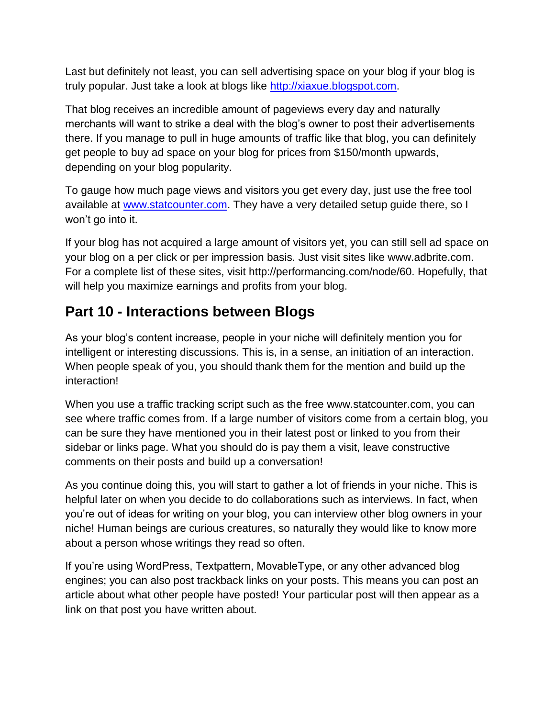Last but definitely not least, you can sell advertising space on your blog if your blog is truly popular. Just take a look at blogs like [http://xiaxue.blogspot.com.](http://xiaxue.blogspot.com/)

That blog receives an incredible amount of pageviews every day and naturally merchants will want to strike a deal with the blog's owner to post their advertisements there. If you manage to pull in huge amounts of traffic like that blog, you can definitely get people to buy ad space on your blog for prices from \$150/month upwards, depending on your blog popularity.

To gauge how much page views and visitors you get every day, just use the free tool available at [www.statcounter.com.](www.statcounter.com) They have a very detailed setup guide there, so I won't go into it.

If your blog has not acquired a large amount of visitors yet, you can still sell ad space on your blog on a per click or per impression basis. Just visit sites like www.adbrite.com. For a complete list of these sites, visit http://performancing.com/node/60. Hopefully, that will help you maximize earnings and profits from your blog.

## **Part 10 - Interactions between Blogs**

As your blog's content increase, people in your niche will definitely mention you for intelligent or interesting discussions. This is, in a sense, an initiation of an interaction. When people speak of you, you should thank them for the mention and build up the interaction!

When you use a traffic tracking script such as the free www.statcounter.com, you can see where traffic comes from. If a large number of visitors come from a certain blog, you can be sure they have mentioned you in their latest post or linked to you from their sidebar or links page. What you should do is pay them a visit, leave constructive comments on their posts and build up a conversation!

As you continue doing this, you will start to gather a lot of friends in your niche. This is helpful later on when you decide to do collaborations such as interviews. In fact, when you're out of ideas for writing on your blog, you can interview other blog owners in your niche! Human beings are curious creatures, so naturally they would like to know more about a person whose writings they read so often.

If you're using WordPress, Textpattern, MovableType, or any other advanced blog engines; you can also post trackback links on your posts. This means you can post an article about what other people have posted! Your particular post will then appear as a link on that post you have written about.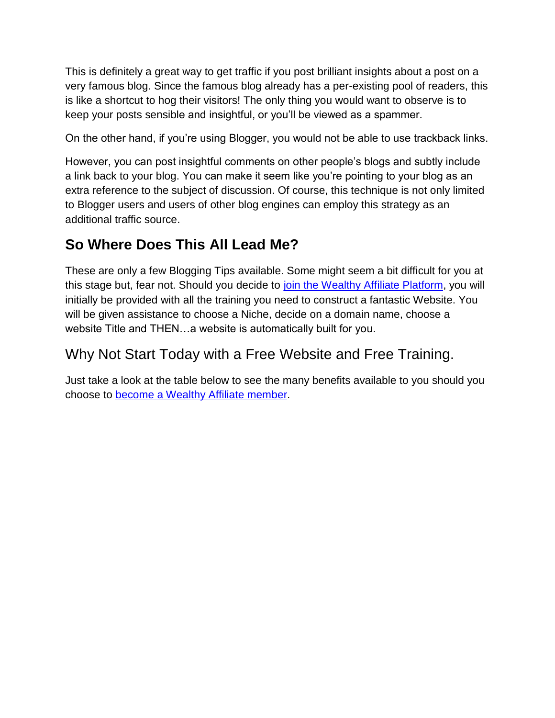This is definitely a great way to get traffic if you post brilliant insights about a post on a very famous blog. Since the famous blog already has a per-existing pool of readers, this is like a shortcut to hog their visitors! The only thing you would want to observe is to keep your posts sensible and insightful, or you'll be viewed as a spammer.

On the other hand, if you're using Blogger, you would not be able to use trackback links.

However, you can post insightful comments on other people's blogs and subtly include a link back to your blog. You can make it seem like you're pointing to your blog as an extra reference to the subject of discussion. Of course, this technique is not only limited to Blogger users and users of other blog engines can employ this strategy as an additional traffic source.

# **So Where Does This All Lead Me?**

These are only a few Blogging Tips available. Some might seem a bit difficult for you at this stage but, fear not. Should you decide to [join the Wealthy Affiliate Platform,](https://www.wealthyaffiliate.com/?a_aid=821bdc96) you will initially be provided with all the training you need to construct a fantastic Website. You will be given assistance to choose a Niche, decide on a domain name, choose a website Title and THEN…a website is automatically built for you.

## Why Not Start Today with a Free Website and Free Training.

Just take a look at the table below to see the many benefits available to you should you choose to [become a Wealthy Affiliate member.](https://www.wealthyaffiliate.com/?a_aid=821bdc96)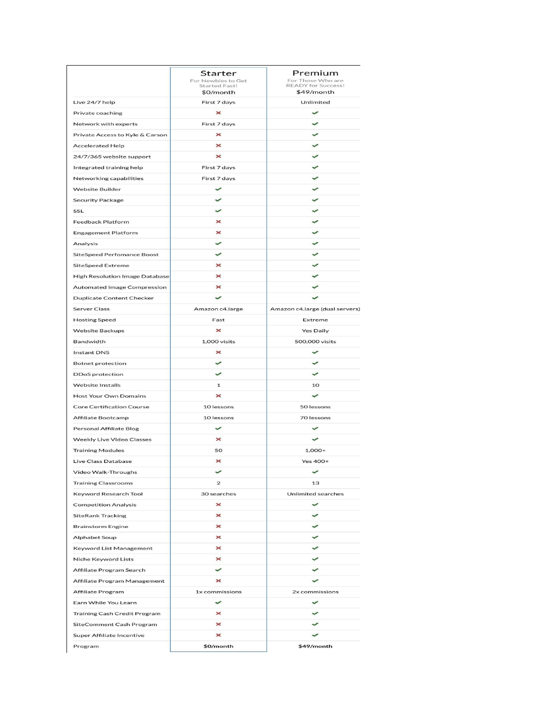|                                                      | Starter<br>For Newbies to Get<br><b>Started Fast!</b> | Premium<br>For Those Who are<br><b>READY for Success!</b> |
|------------------------------------------------------|-------------------------------------------------------|-----------------------------------------------------------|
| Live 24/7 help                                       | \$0/month<br>First 7 days                             | \$49/month<br>Unlimited                                   |
| Private coaching                                     | $\boldsymbol{\times}$                                 | $\checkmark$                                              |
| Network with experts                                 | First 7 days                                          | ✓                                                         |
| Private Access to Kyle & Carson                      | $\boldsymbol{\times}$                                 |                                                           |
| <b>Accelerated Help</b>                              | ×                                                     |                                                           |
|                                                      | ×                                                     |                                                           |
| 24/7/365 website support<br>Integrated training help | First 7 days                                          |                                                           |
| Networking capabilities                              | First 7 days                                          | $\overline{\phantom{a}}$                                  |
| <b>Website Builder</b>                               | ✓                                                     | پ                                                         |
|                                                      | $\checkmark$                                          | ✓                                                         |
| <b>Security Package</b>                              | $\overline{\phantom{0}}$                              | v                                                         |
| SSL                                                  |                                                       |                                                           |
| <b>Feedback Platform</b>                             | ×                                                     | ✓                                                         |
| <b>Engagement Platform</b>                           | ×                                                     |                                                           |
| Analysis                                             | ✓                                                     | $\checkmark$                                              |
| <b>SiteSpeed Perfomance Boost</b>                    | $\overline{\phantom{0}}$                              | ÷                                                         |
| <b>SiteSpeed Extreme</b>                             | $\mathbf x$                                           |                                                           |
| <b>High Resolution Image Database</b>                | $\boldsymbol{\times}$                                 | $\checkmark$                                              |
| <b>Automated Image Compression</b>                   | $\times$                                              | $\overline{\phantom{0}}$                                  |
| <b>Duplicate Content Checker</b>                     | ✓                                                     | $\checkmark$                                              |
| <b>Server Class</b>                                  | Amazon c4.large                                       | Amazon c4.large (dual servers)                            |
| <b>Hosting Speed</b>                                 | Fast                                                  | Extreme                                                   |
| <b>Website Backups</b>                               | $\mathbf x$                                           | <b>Yes Daily</b>                                          |
| Bandwidth                                            | 1,000 visits                                          | 500,000 visits                                            |
| <b>Instant DNS</b>                                   | ×                                                     | ✓                                                         |
| <b>Botnet protection</b>                             | ✓                                                     | $\overline{\phantom{0}}$                                  |
| <b>DDoS</b> protection                               | ✓                                                     | $\checkmark$                                              |
| <b>Website Installs</b>                              | 1                                                     | 10                                                        |
| <b>Host Your Own Domains</b>                         | ×                                                     | ✓                                                         |
| <b>Core Certification Course</b>                     | 10 lessons                                            | 50 lessons                                                |
| <b>Affiliate Bootcamp</b>                            | 10 lessons                                            | 70 lessons                                                |
| <b>Personal Affiliate Blog</b>                       | $\checkmark$                                          | ✓                                                         |
| <b>Weekly Live Video Classes</b>                     | $\boldsymbol{\times}$                                 | $\overline{\phantom{0}}$                                  |
| <b>Training Modules</b>                              | 50                                                    | $1,000+$                                                  |
| Live Class Database                                  | ×                                                     | Yes 400+                                                  |
| Video Walk-Throughs                                  |                                                       |                                                           |
| <b>Training Classrooms</b>                           | $\overline{\mathbf{c}}$                               | 13                                                        |
| Keyword Research Tool                                | 30 searches                                           | <b>Unlimited searches</b>                                 |
| <b>Competition Analysis</b>                          | $\times$                                              | ✓                                                         |
| <b>SiteRank Tracking</b>                             | $\boldsymbol{\times}$                                 | ✓                                                         |
| <b>Brainstorm Engine</b>                             | ×                                                     | ✓                                                         |
| <b>Alphabet Soup</b>                                 | ×                                                     | ✓                                                         |
| Keyword List Management                              | $\times$                                              | ✓                                                         |
| Niche Keyword Lists                                  | ×                                                     | $\checkmark$                                              |
| Affiliate Program Search                             | ✓                                                     | ✓                                                         |
| Affiliate Program Management                         | $\boldsymbol{\times}$                                 | ✓                                                         |
| Affiliate Program                                    | 1x commissions                                        | 2x commissions                                            |
| Earn While You Learn                                 | ✓                                                     | ✓                                                         |
| <b>Training Cash Credit Program</b>                  | ×                                                     | ✓                                                         |
| SiteComment Cash Program                             | $\mathbf x$                                           | $\checkmark$                                              |
| <b>Super Affiliate Incentive</b>                     | ×                                                     | ✓                                                         |
| Program                                              | \$0/month                                             | \$49/month                                                |
|                                                      |                                                       |                                                           |